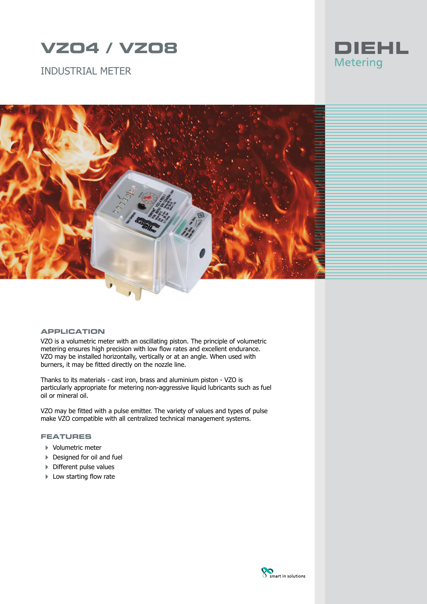# **VZO4 / VZO8**

INDUSTRIAL METER





#### **APPLICATION**

VZO is a volumetric meter with an oscillating piston. The principle of volumetric metering ensures high precision with low flow rates and excellent endurance. VZO may be installed horizontally, vertically or at an angle. When used with burners, it may be fitted directly on the nozzle line.

Thanks to its materials - cast iron, brass and aluminium piston - VZO is particularly appropriate for metering non-aggressive liquid lubricants such as fuel oil or mineral oil.

VZO may be fitted with a pulse emitter. The variety of values and types of pulse make VZO compatible with all centralized technical management systems.

### **FEATURES**

- 4 Volumetric meter
- ▶ Designed for oil and fuel
- 4 Different pulse values
- ▶ Low starting flow rate

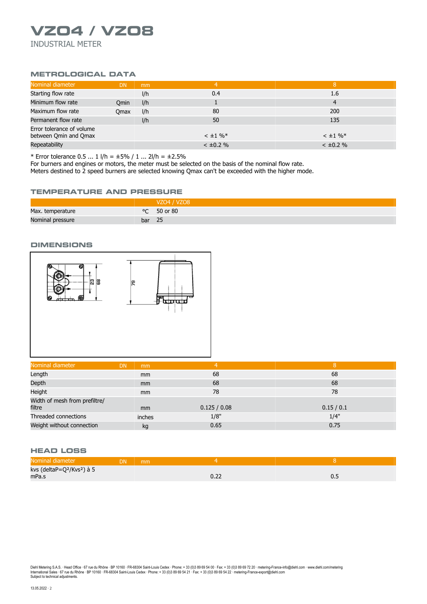# **VZO4 / VZO8** INDUSTRIAL METER

# **METROLOGICAL DATA**

| Nominal diameter                                   | <b>DN</b>   | mm  | 4              | 8              |
|----------------------------------------------------|-------------|-----|----------------|----------------|
| Starting flow rate                                 |             | I/h | 0.4            | 1.6            |
| Minimum flow rate                                  | Omin        | I/h |                | 4              |
| Maximum flow rate                                  | <b>Omax</b> | I/h | 80             | 200            |
| Permanent flow rate                                |             | I/h | 50             | 135            |
| Error tolerance of volume<br>between Qmin and Qmax |             |     | $< \pm 1 \%$   | $< \pm 1 \%$   |
| Repeatability                                      |             |     | $< \pm 0.2 \%$ | $< \pm 0.2 \%$ |

\* Error tolerance  $0.5$  ...  $1 \frac{|h|}{\pm 5\%}$  /  $1 \dots 21/h = \pm 2.5\%$ 

For burners and engines or motors, the meter must be selected on the basis of the nominal flow rate.

Meters destined to 2 speed burners are selected knowing Qmax can't be exceeded with the higher mode.

#### **TEMPERATURE AND PRESSURE**

|                  |        | VZ04 / VZ08          |
|------------------|--------|----------------------|
| Max. temperature |        | $\degree$ C 50 or 80 |
| Nominal pressure | bar 25 |                      |

#### **DIMENSIONS**



| Nominal diameter                        | <b>DN</b><br>mm | 4            | 8        |
|-----------------------------------------|-----------------|--------------|----------|
| Length                                  | mm              | 68           | 68       |
| Depth                                   | mm              | 68           | 68       |
| Height                                  | <sub>mm</sub>   | 78           | 78       |
| Width of mesh from prefiltre/<br>filtre | <sub>mm</sub>   | 0.125 / 0.08 | 0.15/0.1 |
| Threaded connections                    | inches          | 1/8"         | 1/4"     |
| Weight without connection               | kg              | 0.65         | 0.75     |

## **HEAD LOSS**

| Nominal diameter                                   | <b>DN</b> | mm |      |     |
|----------------------------------------------------|-----------|----|------|-----|
| kvs (deltaP=Q <sup>2</sup> /Kvs <sup>2</sup> ) à 5 |           |    |      |     |
| mPa.s                                              |           |    | 0.ZZ | ∪.∟ |

Diehl Metering S.A.S. · Head Office · 67 rue du Rhône · BP 10160 · FR-68304 Saint-Louis Cedex · Phone: + 33 (0)3 89 69 54 00 · Fax: + 33 (0)3 89 69 72 20 · metering-France-info@diehl.com · www.diehl.com/metering<br>Internati